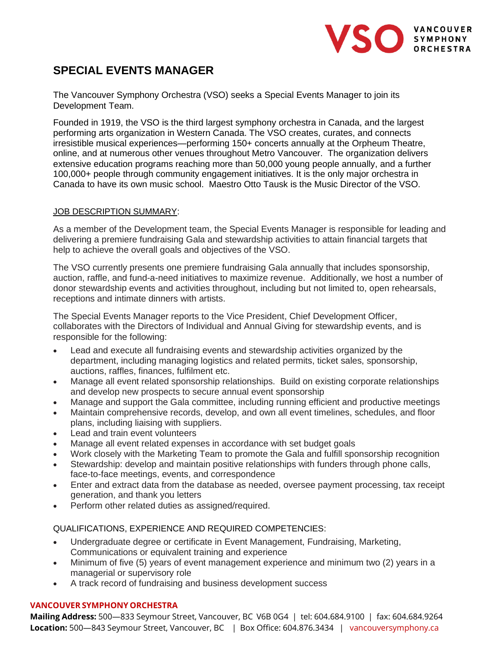

# **SPECIAL EVENTS MANAGER**

The Vancouver Symphony Orchestra (VSO) seeks a Special Events Manager to join its Development Team.

Founded in 1919, the VSO is the third largest symphony orchestra in Canada, and the largest performing arts organization in Western Canada. The VSO creates, curates, and connects irresistible musical experiences—performing 150+ concerts annually at the Orpheum Theatre, online, and at numerous other venues throughout Metro Vancouver. The organization delivers extensive education programs reaching more than 50,000 young people annually, and a further 100,000+ people through community engagement initiatives. It is the only major orchestra in Canada to have its own music school. Maestro Otto Tausk is the Music Director of the VSO.

# JOB DESCRIPTION SUMMARY:

As a member of the Development team, the Special Events Manager is responsible for leading and delivering a premiere fundraising Gala and stewardship activities to attain financial targets that help to achieve the overall goals and objectives of the VSO.

The VSO currently presents one premiere fundraising Gala annually that includes sponsorship, auction, raffle, and fund-a-need initiatives to maximize revenue. Additionally, we host a number of donor stewardship events and activities throughout, including but not limited to, open rehearsals, receptions and intimate dinners with artists.

The Special Events Manager reports to the Vice President, Chief Development Officer, collaborates with the Directors of Individual and Annual Giving for stewardship events, and is responsible for the following:

- Lead and execute all fundraising events and stewardship activities organized by the department, including managing logistics and related permits, ticket sales, sponsorship, auctions, raffles, finances, fulfilment etc.
- Manage all event related sponsorship relationships. Build on existing corporate relationships and develop new prospects to secure annual event sponsorship
- Manage and support the Gala committee, including running efficient and productive meetings
- Maintain comprehensive records, develop, and own all event timelines, schedules, and floor plans, including liaising with suppliers.
- Lead and train event volunteers
- Manage all event related expenses in accordance with set budget goals
- Work closely with the Marketing Team to promote the Gala and fulfill sponsorship recognition
- Stewardship: develop and maintain positive relationships with funders through phone calls, face-to-face meetings, events, and correspondence
- Enter and extract data from the database as needed, oversee payment processing, tax receipt generation, and thank you letters
- Perform other related duties as assigned/required.

QUALIFICATIONS, EXPERIENCE AND REQUIRED COMPETENCIES:

- Undergraduate degree or certificate in Event Management, Fundraising, Marketing, Communications or equivalent training and experience
- Minimum of five (5) years of event management experience and minimum two (2) years in a managerial or supervisory role
- A track record of fundraising and business development success

### **VANCOUVER SYMPHONY ORCHESTRA**

**Mailing Address:** 500—833 Seymour Street, Vancouver, BC V6B 0G4 | tel: 604.684.9100 | fax: 604.684.9264 **Location:** 500—843 Seymour Street, Vancouver, BC | Box Office: 604.876.3434 | vancouversymphony.ca